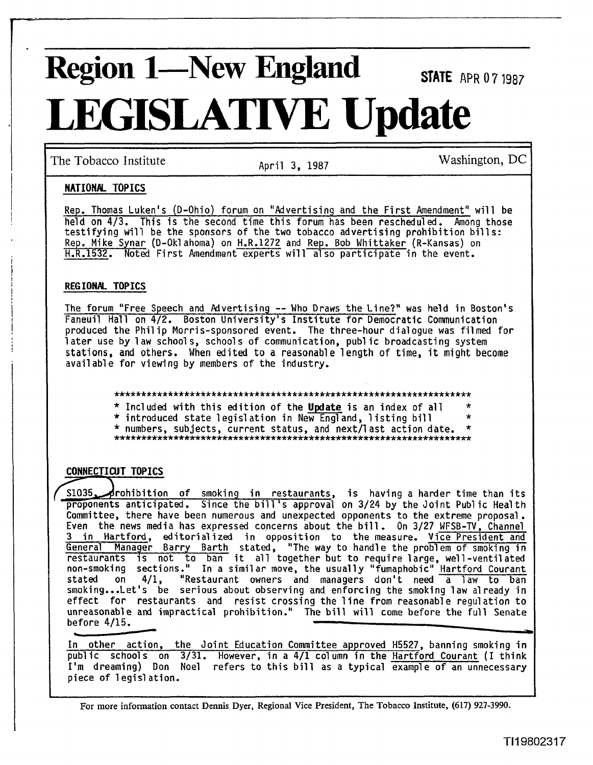# **Region 1—New England STATE** APR 07.1987 **LEGISLATIVE Update**

The Tobacco Institute  $\overline{A}$  April 3, 1987 Washington, DC

# **NATIONAL TOPICS**

Rep. Thomas Luken's (D-Ohio) forum on "Advertising and the First Amendment" will be held on 4/3. This is the second time this forum has been rescheduled. Among those testifying will be the sponsors of the two tobacco advertising prohibition bill s: Rep. Mike Synar (0-Okl ahoma) on H-R.1272 and Rep. Bob Whittaker (R-Kansas) on H.R.1532. Noted First Amendment experts will a1 so participate in the event.

## REGIONAL TOPICS

**I**III **I**IIII **III**I **III III III III III III III III III III III III III III III III III III III III III III III III III III III III III III III III III I** The forum "Free Speech and Advertising -- Who Draws the Line?" was held in Boston's Faneuil Hall on 4/2. Boston University's Institute for Democratic Communication produced the Philip Morris-sponsored event. The three-hour dialogue was filmed for 1 ater use by **1** aw school s, school s of communication, publ ic broadcasting system stations, and others. When edited to a reasonable 1 ength of time, it might become available for viewing by members of the industry.

\* Included with this edition of the Update is an index of all \*

\* introduced state legislation in New England, listing bill

\* numbers, subjects, current status, and next11 ast action date, \* ..................................................................

**EXECTION TOPICS**<br> **CONNECTION** This is the second time this forum in the Dermin hard connection of AS. This is the second time than in the connection of the second time is the smoken than in the second time is  $ReP$ ,  $h/R =$ proponents anticipated. Since the bill 's approval on 3/24 by the Joint Pub1 ic Health Committee, there have been numerous and unexpected opponents to the extreme proposal. Even the news media has expressed concerns about the bill. On 3/27 WFSB-TV, Channel 3 in Hartford, editorial **\zed** in opposition to the measure.' Vice President and General Manager Barry Barth stated, "The way to handle the problem of smoking in<br>restaurants is not to ban it all together but to require large, well-ventilated non-smoking sections." In a similar move, the usually "fumaphobic" Hartford Courant stated on 4/1, "Restaurant owners and managers don't need a law to ban smoking...Let's be serious about observing and enforcing the smoking law already in effect for restaurants and resist crossing the line from reasonable regulation to unreasonable and impractical prohibition." The bill will come before the full Senate<br>before 4/15. **I** before  $4/15$ . mmittee, there have been numerities, there have been numerities, there have been numerical Manager Barry Bart<br>
<u>In Hartford</u>, editorializemeral Manager Barry Bart<br>
Estaurants is not to bar<br>
Lated on 4/1, "Restaurants and<br> Solution of the state of legislation.<br>
In a similar move<br>
stated on 4/1, "Restaurant owners<br>
smoking...Let's be serious about observi<br>
effect for restaurants and resist cros<br>
unreasonable and impractical prohibition."<br>
bef **3** 

In other action, the Joint Education Committee approved H5527, banning smoking in publ ic schools on 3/31. However, in a 4/1 column in the Hartford Courant (I think I'm dreaming) Don Noel refers to this bill as a typical example of an unnecessary piece of legislation.

For more information contact Dennis Dyer, Regional Vice President, The Tobacco Institute, (617) 927-3990.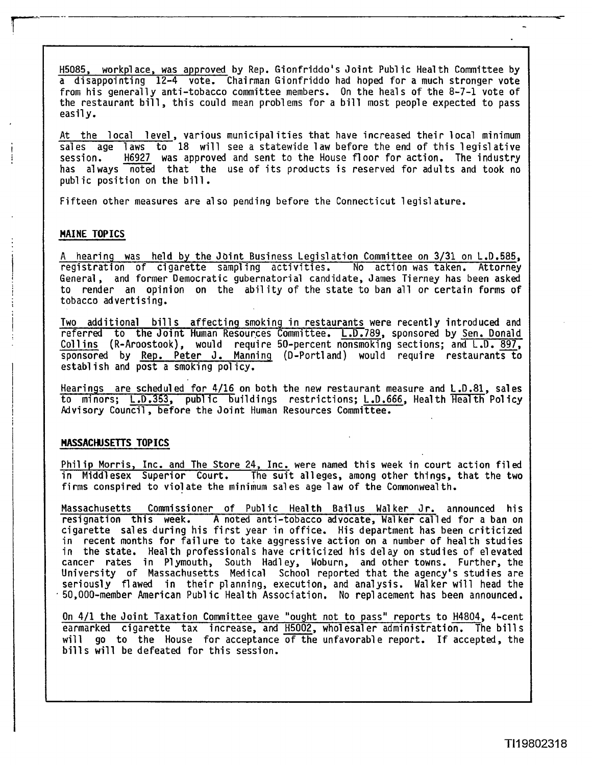H5085, workpl ace, was approved by Rep. Gionfriddo's Joint Publ ic Heal th Committee by a disappointing 12-4 vote. Chairman Gionfriddo had hoped for a much stronger vote from his generally anti-tobacco committee members. On the heals of the 8-7-1 vote of the restaurant bill, this could mean problems for a bill most people expected to pass easily.

At the local level, various municipalities that have increased their local minimum sales age laws to 18 will see a statewide law before the end of this legislative session. H6<u>927</u> was approved and sent to the House floor for action. The industry has always noted that the use of its products is reserved for adults and took no<br>public position on the bill.<br>Fifteen other measures are also pending before the Connecticut legislature.

# **MAINE TOPICS** I

**<sup>A</sup>**hearing was held by the Jbint Business Legislation Committee on 3/31 on L.D.585, registration of cigarette sampl ing activities. No action was taken. Attorney General, and former Democratic gubernatorial candidate, James Tierney has been asked to render an opinion on the abil ity of the state to ban all or certain forms of tobacco advertising.

Two additional bills affecting smoking in restaurants were recently introduced and referred to the Joint Human Resources Committee. L.D.789, sponsored by Sen. Donald Collins (R-Aroostook), would require 50-percent nonsmoking sections; and  $L.D. 897$ , sponsored by **Rep.** Peter J. Manning (D-Portland) would require restaurants to establish and post a smoking policy.

Hearings are scheduled for 4/16 on both the new restaurant measure and L.D.81, sales to minors; L .D.353, **publ** ic buildings restrictions; L.D.666, Health Hea'lth Pol icy Advisory Council, before the Joint Human Resources Committee.

# **MASSACHUSETTS TOPICS** I

Phil ip Morris, Inc. and The Store 24, Inc. were named this week in court action filed in Middlesex Superior Court. The suit alleges, among other things, that the two firms conspired to violate the minimum sales age law of the Commonwealth.

Massachusetts Commissioner of Public Health Bailus Walker Jr. announced his resignation this week. **A** noted anti-tobacco advocate, Walker called for a ban on cigarette sales during his first year in office. His department has been criticized in recent months for failure to take aggressive action on a number of health studies in the state. Health professionals have criticized his delay on studies of elevated cancer rates in Plymouth, South Hadley, Woburn, and other towns. Further, the University of Massachusetts Medical School reported that the agency's studies are seriously flawed in their planning, execution, and analysis. Wal ker will head the 50,000-member American Publ ic Health Association. No rep1 acement has been announced. in the state. Health professionals have criticized his delay on studies of elevated<br>cancer rates in Plymouth, South Hadley, Woburn, and other towns. Further, the<br>University of Massachusetts Medical School reported that the

On 4/1 the Joint Taxation Committee gave "ought not to pass" reports to H4804, 4-cent bills will be defeated for this session.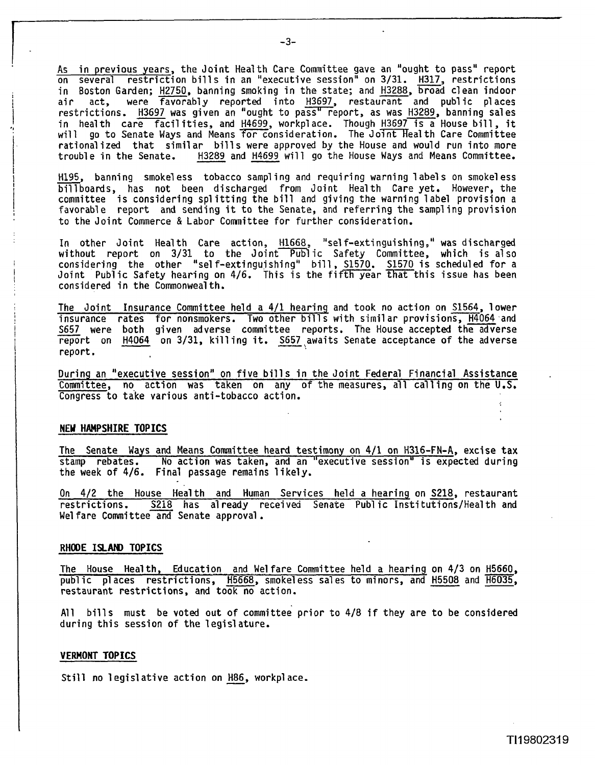As in previous years, the Joint Health Care Committee gave an "ought to pass" report As in previous years, the Joint Health Care Committee gave an "ought to pass" report<br>on several restriction bills in an "executive session" on 3/31. <u>H317</u>, restrictions<br>in Boston Garden; H2750, banning smoking in the stat air act, were favorably reported into H3697, restaurant and public places restrictions. H3697 was given an "ought to pass" report, as was H3289, banning sales rescrictions. **1992 was given an** ought to pass report, as was <u>19205</u>, banning sares<br>in health care facilities, and H4699, workplace. Though H3697 is a House bill, it will go to Senate Ways and Means for consideration. The Joint Health Care Committee rationalized that similar bills were approved by the House and would run into more<br>trouble in the Senate. H3289 and H4699 will go the House Ways and Means Committee. on several restriction bills in an "executive session" on 3/31. H317, restrictions<br>in Boston Garden; H2750, banning smoking in the state; and H3288, broad clean indoor<br>air act, were favorably reported into H3697, restauran in health care facilities, and H4699, workplace. Though H3697 is a House bill, it<br>will go to Senate Ways and Means for consideration. The Joint Health Care Committee<br>rationalized that similar bills were approved by the Ho

bill boards, has not been discharged from Joint Health Care yet. However, the committee is considering spl itting the bill and giving the warning 1 abel provision a favorable report and sending it to the Senate, and referring the sampl ing provision to the Joint Commerce & Labor Committee for further consideration.

In other Joint Health Care action, H1668, "self-extinguishing," was discharged without report on 3/31 to the Joint Public Safety Committee, which is also without report on 3/31 to the Joint Public Safety Committee, which is\_also<br>considering the other "self-extinguishing" bill,\_S1570. S1570\_is\_scheduled\_for\_a considered in the Commonweal th.

Joint Public Safety hearing on 4/6. This is the fifth year that this issue has been<br>
considered in the Commonwealth.<br>
The Joint Insurance Committee held a 4/1 hearing and took no action on S1564, lower<br>
insurance rates for The Joint Insurance Committee held a 411 hearing and took no action on S1564, lower insurance rates for nonsmokers. Two other bills with similar provisions, <u>H4064</u> and report on H4064 on 3/31, killing it. S657 awaits Senate acceptance of the adverse report.<br>The Joint Insurance Committee held a 4/1 hearing and took no action on S1564, lower<br>insurance rates for nonsmokers. Two other bills report.

During an "executive session" on five bills in the Joint Federal Financial Assistance Committee, no action was taken on any of the measures, all calling on the U.S. Congress to take various anti-tobacco action.

### **NEY HAMPSHIRE TOPICS**

The Senate Ways and Means Committee heard testimony on 411 on H316-FN-A, excise tax stamp rebates. No action was taken, and an "executive session" is expected during the week of 4/6. Final passage remains likely. NEW HAMPSHIRE TOPICS<br>The Senate Ways and Means Committee heard testimony on 4/1 on H316-FN-A, excise tax<br>stamp rebates. No action was taken, and an "executive session" is expected during<br>the week of 4/6. Final passage rema The Senate Ways and Means Committee heard testimony on 4/1 on H316-FN-A, excise tax<br>stamp rebates. Mo action was taken, and an "executive session" is expected during<br>the week of 4/6. Final passage remains likely.<br>On 4/2 th

restrictions. S218 has already received Senate Public Institutions/Health and Welfare Committee and Senate approval.

### **RHOOE ISLAH) TOPICS**

The House Health, Education and We1 fare Committee held a hearing on 4/3 on H5660 public places restrictions, H5668, smokeless sales to minors, and H5508 and H6035, restaurant restrictions, and took no action.

All bills must be voted out of committee prior to 4/8 if they are to be considered during this session of the legislature.

#### **VERMONT TOPICS**

Still no legislative action on H86, workplace.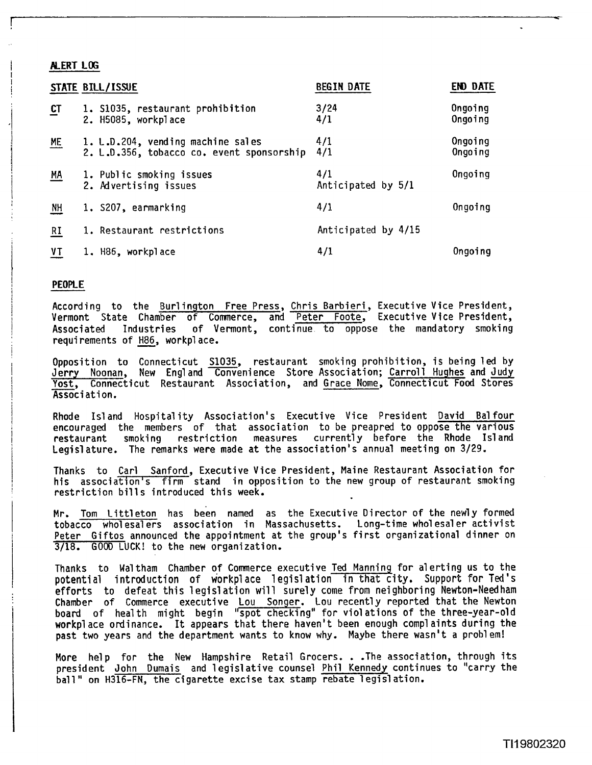## **ALERT LOG**

|           | STATE BILL/ISSUE                                                               | <b>BEGIN DATE</b>         | <b>END DATE</b>    |
|-----------|--------------------------------------------------------------------------------|---------------------------|--------------------|
| $C$ T     | 1. S1035, restaurant prohibition<br>2. H5085, workplace                        | 3/24<br>4/1               | Ongoing<br>Ongoing |
| $ME$      | 1. L.D.204, vending machine sales<br>2. L.D.356, tobacco co. event sponsorship | 4/1<br>4/1                | Ongoing<br>Ongoing |
| $M_A$     | 1. Public smoking issues<br>2. Advertising issues                              | 4/1<br>Anticipated by 5/1 | Ongoing            |
| <b>NH</b> | 1. S207, earmarking                                                            | 4/1                       | Ongoing            |
| <b>RI</b> | 1. Restaurant restrictions                                                     | Anticipated by 4/15       |                    |
| VT        | 1. H86, workplace                                                              | 4/1                       | Ongoing            |

### **PEOPLE**

According to the Burl ington Free Press, Chris Barbieri , Executive Vice President, Vermont State Chamber of Comerce, and Peter Foote, Executive Vice President, Associated Industries of Vermont, continue to oppose the mandatory smoking<br>requirements of H86, workplace. **According to the <u>Burlington</u>**<br>Jermont State Chamber of Co<br>Associated Industries of V<br>requirements of <u>H86</u>, workplace.

Opposition to Connecticut <u>S1035</u>, restaurant smoking-prohibition, is-being-led-by<br>Jerry Noonan, New England Convenience Store-Association; <u>Carroll Hughes</u> and Judy Yost, Connecticut Restaurant Association, and Grace Nome, Connecticut Food Stores Association.

Rhode Is1 and Hospital ity Association's Executive Vice President David Bal four encouraged the members of that association to be preapred to oppose the various restaurant smoking restriction measures currently before the Rhode Island Legislature. The remarks were made at the association's annual meeting on 3/29.

Thanks to Carl Sanford, Executive Vice President, Maine Restaurant Association for his association's firm stand in opposition to the new group of restaurant smoking restriction bills introduced this week.

Mr. Tom Littleton has been named as the Executive Director of the newly formed tobacco who1 esal ers association in Massachusetts. Long-time who1 esal **er** activist Peter Giftos announced the appointment at the group's first organizational dinner on 3/18. GOOD LUCK! to the new organization.

Thanks to Waltham Chamber of Commerce executive Ted Manning for alerting us to the potential introduction of workplace legislation in that city. Support for Ted's efforts to defeat this legislation will surely come from neighboring Newton-Needham Chamber of Commerce executive Lou Songer. Lou recently reported that the Newton board of health might begin "spot checking" for viol ations of the three-year-old workpl ace ordinance. It appears that there haven't been enough compl aints during the past two years and the department wants to know why. Maybe there wasn't a problem!

More help for the New Hampshire Retail Grocers. . .The association, through its president John Dumais and legislative counsel Phil Kennedy continues to "carry the ball " on H316-FN, the cigarette excise tax stamp rebate **1** egi sl ation.